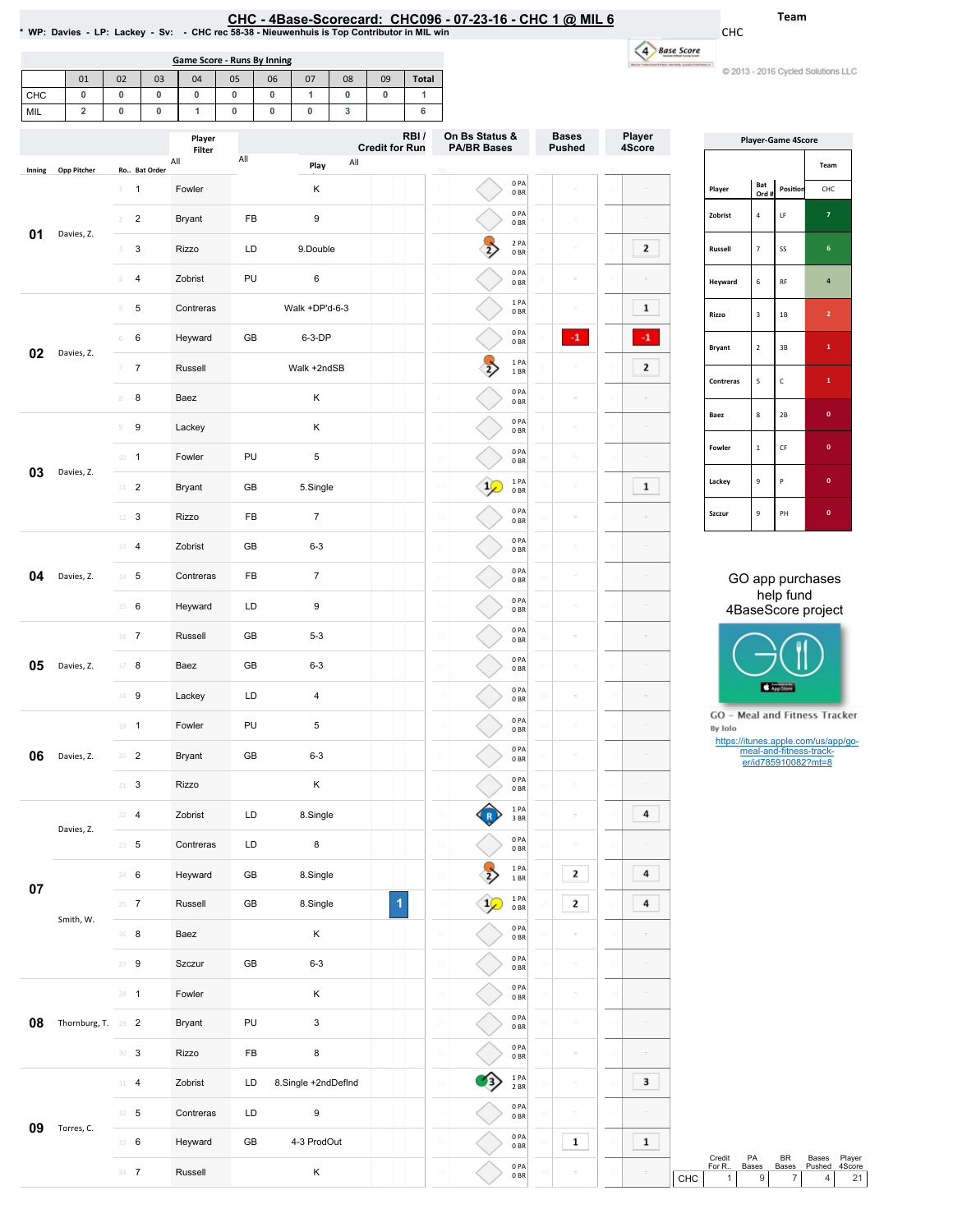## EHC - 4Base-Scorecard: CHC096 - 07-23-16 - CHC 1 @ MIL 6 ل CHC 1 . CHC1 - CHC 1 . CHC 1 . CHC 1 . CHC 1 . CHC<br>\* WP: Davies - LP: Lackey - Sv: - CHC rec 58-38 - Nieuwenhuis is Top Contributor in MIL win \*

0PA 0BR 0PA 0BR 2PA 0BR 0PA 0BR 1PA 0BR 0PA 0BR

 $\rightarrow$ 

 $\bar{\omega}$ 

 $\equiv$ 

 $\left\langle \cdot 1 \right\rangle$ 

All Play All

Team

C 2013 - 2016 Cycled Solutions LLC

CHC

|            |    |    |    | Game Score - Runs By Inning |    |           |    |    |    |                       |       |
|------------|----|----|----|-----------------------------|----|-----------|----|----|----|-----------------------|-------|
|            | 01 | 02 | 03 | 04                          | 05 |           | 06 | 07 | 08 | 09                    | Total |
| <b>CHC</b> | 0  | 0  | 0  | 0                           | o  |           | 0  |    | 0  | 0                     |       |
| MIL        | 2  | o  | o  |                             |    |           | n  |    | 3  |                       |       |
|            |    |    |    |                             |    |           |    |    |    |                       |       |
|            |    |    |    | Player<br><b>Filter</b>     |    |           |    |    |    | <b>Credit for Run</b> | RBI/  |
|            |    |    |    |                             |    | $\sim$ 11 |    |    |    |                       |       |

1 1 Fowler K 2 2 Bryant FB 9

All

3 3 Rizzo LD 9.Double 4 4 Zobrist PU 6

5 5 Contreras Walk+DP'd-6-3

6 6 Heyward GB 6-3-DP

Inning Opp Pitcher Ro.. Bat Order

01 Davies, Z.

02 Davies, Z.

| <b>Bases</b> | Player |  |
|--------------|--------|--|
|              | 4Score |  |
| Pushed       |        |  |
|              |        |  |

 $\overline{\mathbf{2}}$ 

 $\mathbf 1$ 

 $\cdot 1$ 

4 Base Score .<br>In terms in

Ro..

|                  |                         | <b>Player-Game 4Score</b> |                |
|------------------|-------------------------|---------------------------|----------------|
|                  |                         |                           | Team           |
| Player           | Bat<br>Ord#             | Position                  | CHC            |
| Zobrist          | $\overline{4}$          | LF                        | $\overline{z}$ |
| Russell          | $\overline{7}$          | SS                        | 6              |
| Heyward          | 6                       | <b>RF</b>                 | 4              |
| Rizzo            | $\overline{\mathbf{3}}$ | 1B                        | $\overline{2}$ |
| <b>Bryant</b>    | $\overline{2}$          | 3B                        | 1              |
| <b>Contreras</b> | 5                       | C                         | 1              |
| Baez             | 8                       | 2B                        | $\mathbf{0}$   |
| Fowler           | $\mathbf{1}$            | CF                        | $\mathbf{o}$   |
| Lackey           | 9                       | P                         | $\mathbf{o}$   |
| Szczur           | 9                       | PH                        | $\mathbf{o}$   |

| 02 |                    |                              |                |               |    |                     |         |                |                          |                                         |              |             |                                        |                  |                                                |                                                       |
|----|--------------------|------------------------------|----------------|---------------|----|---------------------|---------|----------------|--------------------------|-----------------------------------------|--------------|-------------|----------------------------------------|------------------|------------------------------------------------|-------------------------------------------------------|
|    | Davies, Z.         | $\overline{\phantom{a}}$     | $\overline{7}$ | Russell       |    | Walk +2ndSB         |         |                | $\frac{1}{2}$            | 1PA<br>1 BR                             |              | 2           | Contreras                              | 5                | $\mathsf{C}$                                   | $\mathbf 1$                                           |
|    |                    | $\,$ 8 $\,$                  | 8              | Baez          |    | Κ                   |         |                |                          | 0PA<br>0BR                              | $\equiv$     |             |                                        |                  |                                                |                                                       |
|    |                    | $\,$ $\,$ $\,$               | $9\,$          | Lackey        |    | Κ                   |         |                |                          | 0PA<br>$0\;\mathrm{BR}$                 | $\bar{a}$    |             | Baez                                   | 8                | $2\mathsf{B}$                                  | $\mathbf{0}^-$                                        |
| 03 | Davies, Z.         | $10 - 1$                     |                | Fowler        | PU | 5                   |         |                |                          | 0PA<br>0BR                              | $\equiv$     |             | Fowler                                 | $\mathbf 1$      | $\mathsf{CF}$                                  | $\mathbf{0}^-$                                        |
|    |                    | $11$ – $2$                   |                | <b>Bryant</b> | GB | 5.Single            |         |                | $\frac{1}{2}$            | 1PA<br>$0\;\ensuremath{\mathsf{BR}}$    | $\equiv$     | $\mathbf 1$ | Lackey                                 | 9                | $\mathsf{P}$                                   | $\pmb{0}$                                             |
|    |                    | $12 \t3$                     |                | Rizzo         | FB | $\boldsymbol{7}$    |         |                |                          | 0PA<br>0BR                              | $\bar{a}$    |             | Szczur                                 | 9                | PH                                             | $\mathbf{0}^-$                                        |
|    |                    | 13 4                         |                | Zobrist       | GB | $6 - 3$             |         |                |                          | 0PA<br>0BR                              | $\equiv$     |             |                                        |                  |                                                |                                                       |
| 04 | Davies, Z.         | $14 - 5$                     |                | Contreras     | FB | $\overline{7}$      |         |                |                          | 0PA<br>$0\;\mathrm{BR}$                 | $\bar{a}$    |             |                                        |                  |                                                | GO app purchases                                      |
|    |                    | $15 \t 6$                    |                | Heyward       | LD | 9                   |         |                |                          | 0PA<br>0 <sub>BR</sub>                  | $\equiv$     |             |                                        |                  | help fund                                      | 4BaseScore project                                    |
|    |                    | $16$ 7                       |                | Russell       | GB | $5 - 3$             |         | $\overline{1}$ |                          | 0PA<br>0B                               | $\equiv$     |             |                                        |                  |                                                |                                                       |
| 05 | Davies, Z.         | 17 8                         |                | Baez          | GB | $6 - 3$             |         |                |                          | 0PA<br>$0\;\ensuremath{\mathsf{BR}}$    | $\bar{a}$    |             |                                        |                  |                                                |                                                       |
|    |                    | 18 9                         |                | Lackey        | LD | 4                   |         | $\mathbf{1}$   |                          | 0PA<br>0BR                              | $\equiv$     |             |                                        |                  | <b>CApp Store</b>                              |                                                       |
|    |                    | $19 - 1$                     |                | Fowler        | PU | 5                   |         |                |                          | 0PA<br>$0\;\mathrm{BR}$                 | $\bar{a}$    |             | By Iolo                                |                  |                                                | GO - Meal and Fitness Tracker                         |
| 06 | Davies, Z.         | $20 - 2$                     |                | <b>Bryant</b> | GB | $6 - 3$             |         |                |                          | 0PA<br>0BR                              | $\equiv$     |             |                                        |                  | meal-and-fitness-track-<br>er/id785910082?mt=8 | https://itunes.apple.com/us/app/go-                   |
|    |                    | $21 - 3$                     |                | Rizzo         |    | Κ                   |         |                |                          | 0PA<br>0B                               | $\equiv$     |             |                                        |                  |                                                |                                                       |
|    |                    | $22 - 4$                     |                | Zobrist       | LD | 8.Single            |         |                |                          | 1PA<br>3BR                              | $\bar{a}$    | 4           |                                        |                  |                                                |                                                       |
|    | Davies, Z.         | $23 \t 5$                    |                | Contreras     | LD | 8                   |         |                |                          | 0PA<br>0BR                              | ÷            |             |                                        |                  |                                                |                                                       |
|    |                    | 24 6                         |                | Heyward       | GB | 8.Single            |         |                | $\frac{1}{2}$            | 1PA<br>1 BR                             | 2            | 4           |                                        |                  |                                                |                                                       |
| 07 |                    | $25 \t 7$                    |                | Russell       | GB | 8.Single            | $\vert$ |                | $\overline{\mathcal{P}}$ | 1PA<br>0BR                              | $\mathbf{2}$ | 4           |                                        |                  |                                                |                                                       |
|    | Smith, W.          | $26$ 8                       |                | Baez          |    | Κ                   |         | $\overline{2}$ |                          | 0PA<br>0B                               | $\equiv$     |             |                                        |                  |                                                |                                                       |
|    |                    | $27 - 9$                     |                | Szczur        | GB | $6 - 3$             |         |                |                          | 0PA<br>0B                               | $\sim$       |             |                                        |                  |                                                |                                                       |
|    |                    | $28 - 1$                     |                | Fowler        |    | Κ                   |         |                |                          | 0PA<br>0BR                              | $\equiv$     |             |                                        |                  |                                                |                                                       |
| 08 | Thornburg, T. 29 2 |                              |                | Bryant        | PU | 3                   |         |                |                          | 0PA<br>0B                               | $\equiv$     | $\equiv$    |                                        |                  |                                                |                                                       |
|    |                    | $\mathbb{B}^0$ – $\mathbf 3$ |                | Rizzo         | FB | 8                   |         |                |                          | 0PA<br>0 B R                            |              |             |                                        |                  |                                                |                                                       |
|    |                    | $31 - 4$                     |                | Zobrist       | LD | 8.Single +2ndDefInd |         |                | $\rightarrow$            | 1 PA<br>2 BR                            | ÷            | 3           |                                        |                  |                                                |                                                       |
|    |                    | $32 - 5$                     |                | Contreras     | LD | 9                   |         |                |                          | 0 PA<br>$0\;\mathrm{BR}$                | $\sim$       |             |                                        |                  |                                                |                                                       |
| 09 | Torres, C.         | 33 6                         |                | Heyward       | GB | 4-3 ProdOut         |         |                |                          | 0PA<br>$0\;\mathrm{BR}$                 | $\mathbf{1}$ | $\mathbf 1$ |                                        |                  |                                                |                                                       |
|    |                    | $34 \t7$                     |                | Russell       |    | Κ                   |         |                |                          | $0$ PA<br>$0\;\ensuremath{\mathsf{BR}}$ |              |             | Credit<br>For R<br>CHC<br>$\mathbf{1}$ | PA<br>Bases<br>9 | BR<br>Bases<br>$\overline{7}$                  | Bases Player<br>Pushed 4Score<br>$\overline{4}$<br>21 |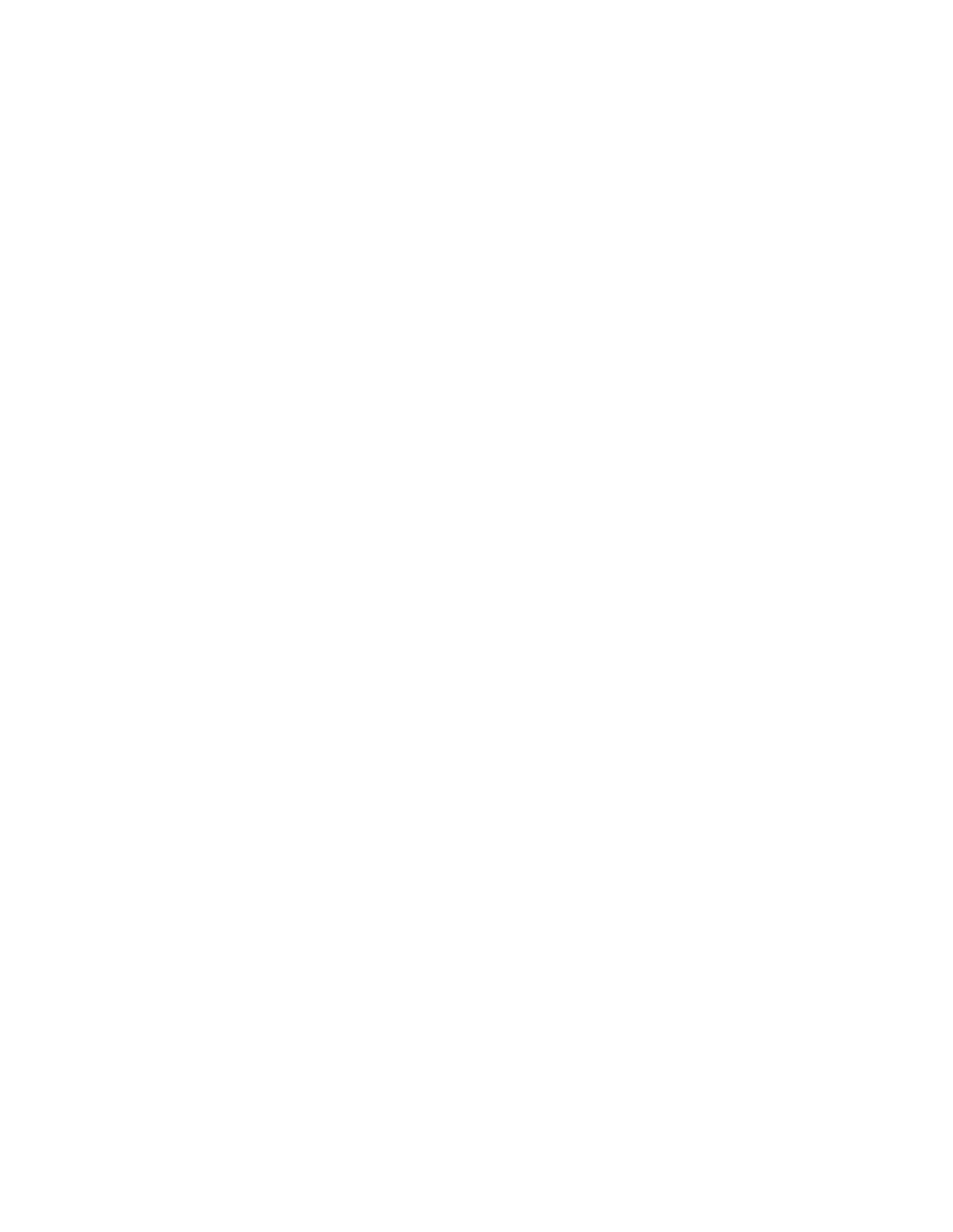|         |                   |                 |             | <u>' u ^ } Œr Zµv• Ç/vv]v</u> P |    |                      |                |                      |                |       |                               |                  |                |                 |                      |                           |                                                           |
|---------|-------------------|-----------------|-------------|---------------------------------|----|----------------------|----------------|----------------------|----------------|-------|-------------------------------|------------------|----------------|-----------------|----------------------|---------------------------|-----------------------------------------------------------|
| $8 + 8$ | ìí                | ìî              | ìï          | ìð                              | ìñ | ìò                   | ìó             | ìô                   | ìõ             | d}šo  |                               |                  |                |                 |                      |                           |                                                           |
| 0,      |                   |                 |             |                                 |    |                      |                |                      |                |       |                               |                  |                |                 |                      |                           |                                                           |
|         |                   |                 |             | Wo Ç Œ<br>&još Œ                |    |                      |                |                      | & UHGLWIRU5 XQ | $5\%$ | 2 Q%V 6 VDWXV<br>3\$ %5 %DVHV | %DVHV<br>3 XVKHG | 30 NU<br>6FRUH |                 |                      | WoÇŒ u ð^}Œ               |                                                           |
|         | /vv]vP K‰W)\$Z0E  |                 | Z} XX ŠKŒ C | $\pmb{\circledcirc}$            |    | $\pmb{\circledcirc}$ | WoÇ            | $\pmb{\circledcirc}$ |                |       |                               |                  |                |                 |                      |                           | d u                                                       |
|         |                   | $\mathbf{r}$    |             | ) RZ ®IU                        |    |                      | $\sim$         |                      |                |       | ì W<br>ìZ                     |                  |                | Wo Ç Œ          | š<br>KŒ              | ۷ <b>γ∙</b> ]Ÿ}           | $\,$                                                      |
|         |                   | $\hat{\perp}$   |             | <b>%UDOW</b>                    |    | ) %                  |                |                      |                |       | i W<br>$i$ Z                  |                  |                | $\bullet$ } Opš | ð                    | $\mathcal{S}_\kappa$      | ó                                                         |
|         | ÀJ∙U∗X            | ï.              |             | $5 \,\sharp\,$ R                |    | $\prime$ .           |                | ' RXE®               |                |       | îW<br>i Z                     |                  |                | Zµ⊷ oo          | ó                    | $\boldsymbol{\mathsf{M}}$ | ò                                                         |
|         |                   | ð               |             | $=$ REUMV                       |    | 38                   |                |                      |                |       | i W<br>i Z                    |                  |                | , ÇÁ Œ          | ò                    | Z&                        | ð                                                         |
|         |                   | ñ               |             | & ROWHUDV                       |    |                      | : DON '3G      |                      |                |       | í W<br>ìZ                     |                  |                | zjì ì }         | $\ddot{\rm I}$       | $\mathbf{i}$              | $\top$                                                    |
|         | À]∙UX             | ò               |             | $+HZDUS$                        |    | $*$ %                |                | '3                   |                |       | i W<br>ìZ                     |                  |                | 0Ç vš           | î                    | $\ddot{\rm I}$            | $\mathbf{1}$                                              |
|         |                   | ó               |             | 5 XVMO                          |    |                      | : DON: QG6%    |                      |                |       | í W<br>$i$ $Z$                |                  |                | } všOEOE        | ñ                    |                           | $\mathbf{1}$                                              |
|         |                   | ô               |             | %DHJ                            |    |                      | $\cdot$        |                      |                |       | ìW<br>ìZ                      |                  |                |                 |                      |                           |                                                           |
|         |                   | $\tilde{\rm O}$ |             | / DFNH                          |    |                      | $\blacksquare$ |                      |                |       | ìW<br>i Z                     |                  |                | j.              | ô                    | î                         | $\mathbf{1}$                                              |
|         |                   | íì.             |             | ) RZ ONU                        |    | 38                   |                |                      |                |       | i W<br>ìZ                     |                  |                | &} Áo Œ         | í                    | &                         | ni.                                                       |
|         | X⊌∙≬Á             | íí.             |             | <b>%UDOW</b>                    |    | $*$ %                | $61QJ$ $OH$    |                      |                |       | í W<br>i Z                    |                  |                | $>$   $\circ$   | $\tilde{\mathbf{o}}$ | ${\sf W}$                 | $\mathbf{1}$                                              |
|         |                   | íî              |             | $5 \text{ }\mathsf{I}$ ] R      |    | ) %                  |                |                      |                |       | i W<br>ìZ                     |                  |                | ^Ì ÌμŒ          | $\tilde{\text{o}}$   | W                         | $\mathbf{1}$                                              |
|         |                   | íï              |             | $=$ REUMV                       |    | $*$ %                |                |                      |                |       | i W<br>ìZ                     |                  |                |                 |                      |                           |                                                           |
|         | À∣∙⊍X             | íð              |             | & ROWHUDV                       |    | ) %                  |                |                      |                |       | i W<br>i Z                    |                  |                |                 |                      |                           | * 2 DSS SXUFKDVHV                                         |
|         |                   | íñ              |             | $+HZDUS$                        |    | $\prime$ .           |                |                      |                |       | i W<br>ìZ                     |                  |                |                 |                      | KHOS IXOG                 | <b>%DMH6FRUH SURWIFW</b>                                  |
|         |                   | íò              |             | 5 XVMO                          |    | $*$ %                |                |                      |                |       | i W<br>ìZ                     |                  |                |                 |                      |                           |                                                           |
|         | X⊌∙≬Á             | íó              |             | %DHJ                            |    | $*$ %                |                |                      |                |       | i W<br>i Z                    |                  |                |                 |                      |                           |                                                           |
|         |                   | íô              |             | / DFNH                          |    | $\prime$ .           |                |                      |                |       | i W<br>ìZ                     |                  |                |                 |                      |                           |                                                           |
|         |                   | íõ              |             | ) RZ ONU                        |    | 38                   |                |                      |                |       | ìW<br>i Z                     |                  |                |                 |                      |                           |                                                           |
|         | À∣∙UX             | $\mathbf{u}$    |             | <b>%UDOW</b>                    |    | $*$ %                |                |                      |                |       | i W<br>$i$ Z                  |                  |                |                 | <b>HUIG</b>          |                           | KWOSV LWACHVDSSORFRPXVDSSJR<br>PHDCDOGILWOHNVWLDFN<br>"PW |
|         |                   | îí              |             | $5 \,\sharp\,$ R                |    |                      | $\sim$         |                      |                |       | i W<br>ìZ                     |                  |                |                 |                      |                           |                                                           |
|         |                   | îî              |             | $=$ REUMV                       |    | $\prime$ .           |                | $61QJ$ $\Theta$      |                |       | i W<br>$i \, z$               |                  |                |                 |                      |                           |                                                           |
|         | ÀJ∙U≻X            | $\hat{1}$       |             | & ROWHUDV                       |    | $\prime$ .           |                |                      |                |       | ìW<br>$i \, z$                |                  |                |                 |                      |                           |                                                           |
|         |                   | îŏ              |             | $+HZDUS$                        |    | $*$ %                |                | $61QJ$ $\Theta$      |                |       | i W<br>$i$ $z$                |                  |                |                 |                      |                           |                                                           |
|         |                   | îñ              |             | 5 XVVHO                         |    | $*$ %                |                | $61QJ$ $\Theta$      |                |       | i W<br>ìZ                     |                  |                |                 |                      |                           |                                                           |
|         | ^u ]šZUt X        | îò              |             | %DHJ                            |    |                      | $\sim$         |                      |                |       | i W<br>ìZ                     |                  |                |                 |                      |                           |                                                           |
|         |                   | îó              |             | 6] FJ XU                        |    | $^{\star}$ %         |                |                      |                |       | i W<br>ìZ                     |                  |                |                 |                      |                           |                                                           |
|         |                   | Îô              |             | ) RZ ®IU                        |    |                      | $\cdot$        |                      |                |       | i W<br>ìZ                     |                  |                |                 |                      |                           |                                                           |
|         | dZ} OE µOELblX îõ |                 |             | <b>VIOLUX</b>                   |    | 38                   |                |                      |                |       | i W<br>$i$ Z                  |                  |                |                 |                      |                           |                                                           |
|         |                   | ΪÌ              |             | $5 \,\sharp\,$ R                |    | ) %                  |                |                      |                |       | i W<br>i Z                    |                  |                |                 |                      |                           |                                                           |
|         |                   | ΪĹ              |             | $=$ REUMV                       |    | $\prime$ .           |                | $61QJ$ $@G$ $H, QG$  |                |       | i W<br>îZ                     |                  |                |                 |                      |                           |                                                           |
|         |                   | ΪÎ              |             | & ROWHUDV                       |    | $\prime$ .           |                |                      |                |       | i W<br>ìZ                     |                  |                |                 |                      |                           |                                                           |
|         | d} <b>0E</b> ∙U X | ΪÏ              |             | $+HZDUS$                        |    | $*$ %                |                | 3 URG2 XW            |                |       | ìW<br>$i$ $z$                 |                  |                |                 |                      |                           |                                                           |
|         |                   | ïð              |             | 5 XVVHO                         |    |                      | $\epsilon$     |                      |                |       | i W<br>$i \, z$               |                  |                | $8 + 8$         |                      |                           | &UHGLW 3\$ %5 %DMHV 300AH<br>RU5 %DMHV %DMHV 3XWKHG 6FRU  |

: 3 'DYLHV /3 /DFNH 6Y & +& UF 1LHXZHQKXLVLV7RS&RQMLEXWRULQ0,/ZLQ  $8+8$  # 0,/

 $d$  u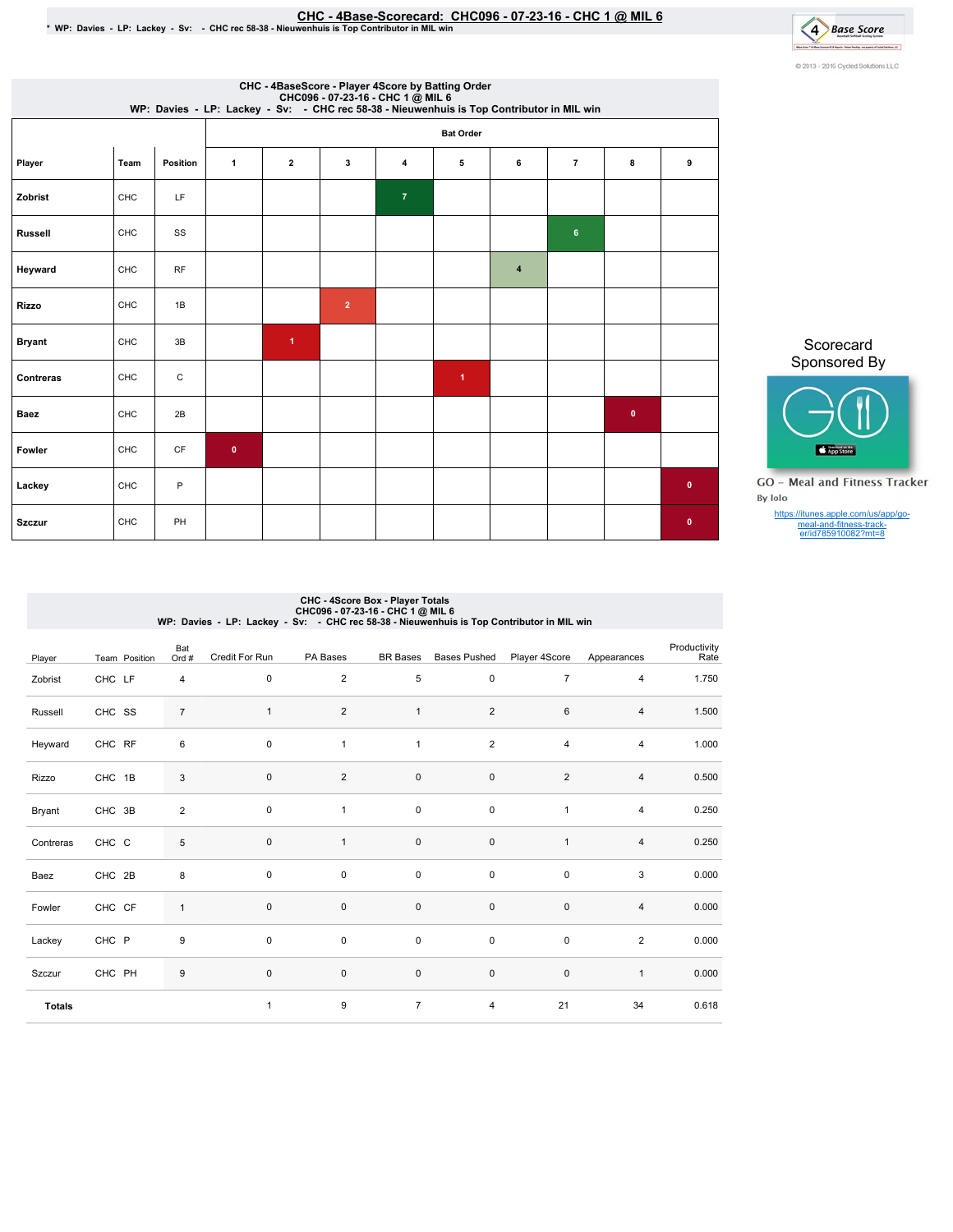## EHC - 4Base-Scorecard: CHC096 - 07-23-16 - CHC 1 @ MIL 6 لـ CHC - 4Base-Scorecard: CHC096 - 07-23-16 - CHC 1 @ MIL<br>WP: Davies - LP: Lackey - Sv: - CHC rec 58-38 - Nieuwenhuis is Top Contributor in MIL win \*\*\*\*\*\*\*\*\*



|                | CHC - 4BaseScore - Player 4Score by Batting Order<br>CHC096 - 07-23-16 - CHC 1 @ MIL 6<br>WP: Davies - LP: Lackey - Sv:  - CHC rec 58-38 - Nieuwenhuis is Top Contributor in MIL win |          |              |                |                |                |                      |                         |                |           |              |  |  |  |
|----------------|--------------------------------------------------------------------------------------------------------------------------------------------------------------------------------------|----------|--------------|----------------|----------------|----------------|----------------------|-------------------------|----------------|-----------|--------------|--|--|--|
|                |                                                                                                                                                                                      |          |              |                |                |                | <b>Bat Order</b>     |                         |                |           |              |  |  |  |
| Player         | Team                                                                                                                                                                                 | Position | $\mathbf{1}$ | $\mathbf{2}$   | 3              | 4              | 5                    | 6                       | $\overline{7}$ | 8         | 9            |  |  |  |
| Zobrist        | CHC                                                                                                                                                                                  | LF.      |              |                |                | $\overline{7}$ |                      |                         |                |           |              |  |  |  |
| <b>Russell</b> | CHC                                                                                                                                                                                  | SS       |              |                |                |                |                      |                         | 6              |           |              |  |  |  |
| Heyward        | CHC                                                                                                                                                                                  | RF       |              |                |                |                |                      | $\overline{\mathbf{4}}$ |                |           |              |  |  |  |
| <b>Rizzo</b>   | CHC                                                                                                                                                                                  | 1B       |              |                | $\overline{2}$ |                |                      |                         |                |           |              |  |  |  |
| <b>Bryant</b>  | CHC                                                                                                                                                                                  | 3B       |              | $\overline{1}$ |                |                |                      |                         |                |           |              |  |  |  |
| Contreras      | CHC                                                                                                                                                                                  | С        |              |                |                |                | $\blacktriangleleft$ |                         |                |           |              |  |  |  |
| <b>Baez</b>    | CHC                                                                                                                                                                                  | 2B       |              |                |                |                |                      |                         |                | $\pmb{0}$ |              |  |  |  |
| Fowler         | CHC                                                                                                                                                                                  | CF       | $\bullet$    |                |                |                |                      |                         |                |           |              |  |  |  |
| Lackey         | CHC                                                                                                                                                                                  | P        |              |                |                |                |                      |                         |                |           | $\mathbf 0$  |  |  |  |
| <b>Szczur</b>  | CHC                                                                                                                                                                                  | PH       |              |                |                |                |                      |                         |                |           | $\mathbf{0}$ |  |  |  |

Scorecard Sponsored By



**GO** - Meal and Fitness Tracker By Iolo

https://itunes.apple.com/us/app/go-meal-and-fitness-track-er/id785910082?mt=8

# CHC - 4Score Box - Player Totals<br>CHC096 - 07-23-16<br>WP: Davies - LP: Lackey - Sv: - CHC rec 58-38 - Nieuwenhuis is Top Contributor in MIL win

| Player        |        | Team Position | Bat<br>Ord #     | Credit For Run      | PA Bases       | <b>BR</b> Bases | <b>Bases Pushed</b> | Player 4Score  | Appearances    | Productivity<br>Rate |
|---------------|--------|---------------|------------------|---------------------|----------------|-----------------|---------------------|----------------|----------------|----------------------|
| Zobrist       | CHC LF |               | 4                | $\mathbf 0$         | $\overline{2}$ | 5               | 0                   | $\overline{7}$ | $\overline{4}$ | 1.750                |
| Russell       | CHC SS |               | $\overline{7}$   | $\mathbf{1}$        | $\overline{2}$ | $\mathbf{1}$    | $\overline{c}$      | 6              | $\sqrt{4}$     | 1.500                |
| Heyward       | CHC RF |               | 6                | $\mathbf 0$         | $\mathbf{1}$   | $\mathbf{1}$    | $\overline{2}$      | 4              | $\overline{4}$ | 1.000                |
| Rizzo         | CHC 1B |               | $\sqrt{3}$       | $\mathsf 0$         | $\overline{2}$ | $\pmb{0}$       | $\pmb{0}$           | $\overline{2}$ | $\overline{4}$ | 0.500                |
| Bryant        | CHC 3B |               | $\sqrt{2}$       | $\mathbf 0$         | $\mathbf{1}$   | $\mathsf 0$     | $\pmb{0}$           | $\mathbf{1}$   | $\overline{4}$ | 0.250                |
| Contreras     | CHC C  |               | 5                | $\mathbf 0$         | $\mathbf{1}$   | $\mathsf 0$     | $\pmb{0}$           | $\mathbf{1}$   | $\overline{4}$ | 0.250                |
| Baez          | CHC 2B |               | 8                | $\mathbf 0$         | $\pmb{0}$      | $\pmb{0}$       | $\pmb{0}$           | $\mathsf 0$    | 3              | 0.000                |
| Fowler        | CHC CF |               | $\mathbf{1}$     | $\mathsf{O}\xspace$ | $\pmb{0}$      | $\pmb{0}$       | $\pmb{0}$           | $\pmb{0}$      | $\sqrt{4}$     | 0.000                |
| Lackey        | CHC P  |               | $\boldsymbol{9}$ | $\mathbf 0$         | $\pmb{0}$      | $\pmb{0}$       | $\pmb{0}$           | $\pmb{0}$      | $\overline{2}$ | 0.000                |
| Szczur        | CHC PH |               | $\boldsymbol{9}$ | $\mathsf{O}\xspace$ | $\pmb{0}$      | $\mathsf 0$     | 0                   | $\mathsf 0$    | $\mathbf{1}$   | 0.000                |
| <b>Totals</b> |        |               |                  | $\mathbf{1}$        | 9              | $\overline{7}$  | 4                   | 21             | 34             | 0.618                |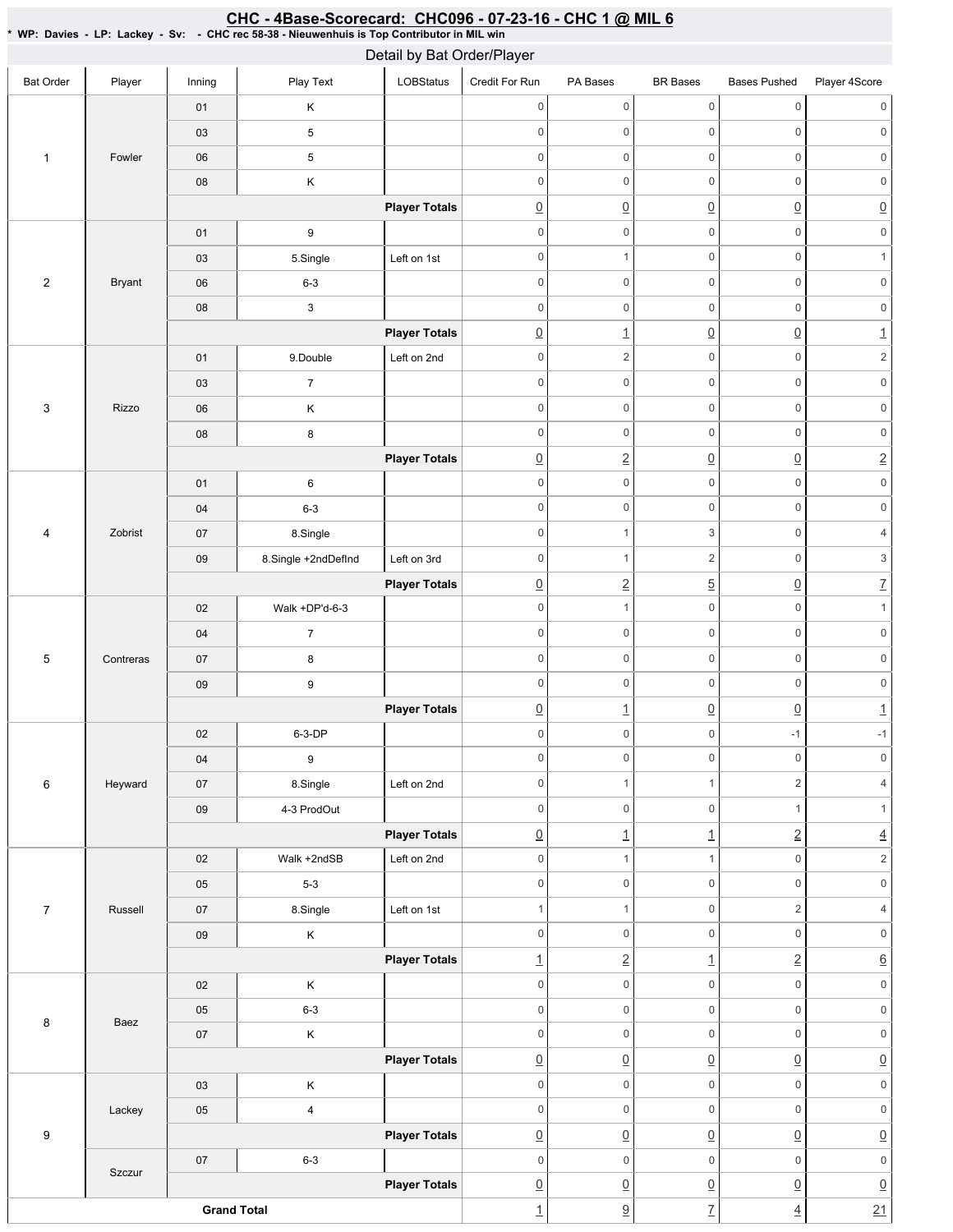|                          |               |                    |                                 | Detail by Bat Order/Player |                            |                                        |                               |                                |                                        |
|--------------------------|---------------|--------------------|---------------------------------|----------------------------|----------------------------|----------------------------------------|-------------------------------|--------------------------------|----------------------------------------|
| <b>Bat Order</b>         | Player        | Inning             | Play Text                       | LOBStatus                  | Credit For Run             | PA Bases                               | <b>BR</b> Bases               | <b>Bases Pushed</b>            | Player 4Score                          |
|                          |               | $01\,$             | Κ                               |                            | $\mathsf 0$                | $\mathsf{O}\xspace$                    | $\mathsf 0$                   | $\mathsf{O}\xspace$            | $\boldsymbol{0}$                       |
|                          |               | 03                 | $\,$ 5 $\,$                     |                            | $\mathbf 0$                | $\mathsf{O}\xspace$                    | $\mathbf 0$                   | $\mathsf 0$                    | $\mathsf 0$                            |
| $\mathbf{1}$             | Fowler        | ${\bf 06}$         | 5                               |                            | $\mathbf 0$                | $\mathsf{O}\xspace$                    | $\mathsf{O}\xspace$           | $\mathsf{O}\xspace$            | $\mathsf{O}\xspace$                    |
|                          |               | ${\bf 08}$         | Κ                               |                            | $\mathbf 0$                | $\mathsf 0$                            | $\mathsf{O}\xspace$           | $\mathsf 0$                    | $\mathsf 0$                            |
|                          |               |                    |                                 | <b>Player Totals</b>       | $\underline{0}$            | $\underline{0}$                        | $\underline{0}$               | $\underline{0}$                | $\underline{0}$                        |
|                          |               | 01                 | $\boldsymbol{9}$                |                            | $\mathbf 0$                | $\mathsf{O}\xspace$                    | $\mathsf{O}\xspace$           | $\mathsf{O}\xspace$            | $\mathsf{O}\xspace$                    |
|                          |               | $03\,$             | 5.Single                        | Left on 1st                | $\mathbf 0$                | $\mathbf{1}$                           | $\mathsf{O}\xspace$           | $\mathsf{O}\xspace$            | $\mathbf{1}$                           |
| $\sqrt{2}$               | <b>Bryant</b> | 06                 | $6 - 3$                         |                            | $\mathbf 0$                | $\mathsf{O}\xspace$                    | $\mathsf 0$                   | $\mathsf{O}\xspace$            | $\mathsf{0}$                           |
|                          |               | 08                 | 3                               |                            | $\mathbf 0$                | $\mathsf 0$                            | $\mathbf 0$                   | $\mathsf 0$                    | $\mathsf{O}\xspace$                    |
|                          |               |                    |                                 | <b>Player Totals</b>       | $\underline{0}$            | $\overline{1}$                         | $\overline{0}$                | $\underline{0}$                | $\overline{1}$                         |
|                          |               | 01                 | 9.Double                        | Left on 2nd                | $\mathbf 0$                | $\sqrt{2}$                             | $\mathsf 0$                   | $\mathsf{O}\xspace$            | $\mathbf 2$                            |
|                          |               | $03\,$             | $\overline{7}$                  |                            | $\mathbf 0$                | $\mathsf{O}\xspace$                    | $\mathbf 0$                   | $\mathsf 0$                    | $\mathsf{O}\xspace$                    |
| 3                        | Rizzo         | $06\,$             | Κ                               |                            | $\mathbf 0$                | $\mathsf{O}\xspace$                    | $\mathsf{O}\xspace$           | $\mathbf 0$                    | $\mathsf{O}\xspace$                    |
|                          |               | ${\bf 08}$         | 8                               |                            | $\mathbf 0$                | $\mathsf{O}\xspace$                    | $\mathsf{O}\xspace$           | $\mathsf{O}\xspace$            | $\mathsf{O}\xspace$                    |
|                          |               |                    |                                 | <b>Player Totals</b>       | $\underline{0}$            | $\underline{2}$<br>$\mathsf{O}\xspace$ | $\overline{0}$<br>$\mathbf 0$ | $\underline{0}$<br>$\mathbf 0$ | $\underline{2}$<br>$\mathsf{O}\xspace$ |
|                          |               | 01                 | $\,6\,$                         |                            | $\mathbf 0$<br>$\mathbf 0$ | $\mathsf{O}\xspace$                    | $\mathsf{O}\xspace$           | $\mathbf 0$                    | $\mathsf{O}\xspace$                    |
| $\overline{\mathcal{L}}$ | Zobrist       | 04                 | $6 - 3$                         |                            | $\mathbf 0$                | $\mathbf{1}$                           | 3                             | $\mathsf 0$                    | $\sqrt{4}$                             |
|                          |               | $07\,$<br>09       | 8.Single<br>8.Single +2ndDefInd | Left on 3rd                | $\mathbf 0$                | $\mathbf{1}$                           | $\sqrt{2}$                    | $\mathsf{O}\xspace$            | $\ensuremath{\mathsf{3}}$              |
|                          |               |                    |                                 | <b>Player Totals</b>       | $\underline{0}$            | $\underline{2}$                        | $\overline{5}$                | $\underline{0}$                | $\overline{L}$                         |
|                          |               | 02                 | Walk +DP'd-6-3                  |                            | $\mathbf 0$                | $\mathbf{1}$                           | $\mathbf 0$                   | $\mathsf{O}\xspace$            | $\mathbf{1}$                           |
|                          |               | 04                 | $\overline{7}$                  |                            | $\mathbf 0$                | $\mathsf{O}\xspace$                    | $\mathsf{O}\xspace$           | $\mathsf{O}\xspace$            | $\mathsf{O}\xspace$                    |
| $\sqrt{5}$               | Contreras     | 07                 | 8                               |                            | $\mathbf 0$                | $\mathsf 0$                            | $\mathsf{O}\xspace$           | $\mathsf{O}\xspace$            | $\mathsf{O}\xspace$                    |
|                          |               | $09\,$             | 9                               |                            | $\mathbf 0$                | $\mathsf{O}\xspace$                    | $\mathsf 0$                   | $\mathsf{O}\xspace$            | $\mathsf{O}\xspace$                    |
|                          |               |                    |                                 | <b>Player Totals</b>       | $\underline{0}$            | $\underline{\mathbf{1}}$               | $\underline{0}$               | $\underline{0}$                | $\overline{1}$                         |
|                          |               | 02                 | $6-3-DP$                        |                            | $\mathsf{O}\xspace$        | $\mathsf{O}\xspace$                    | $\mathsf{O}\xspace$           | $-1$                           | $-1$                                   |
|                          |               | $04$               | $\boldsymbol{9}$                |                            | $\mathsf{O}\xspace$        | $\mathsf{O}\xspace$                    | $\mathsf 0$                   | $\mathsf 0$                    | $\mathsf{O}\xspace$                    |
| $\,6\,$                  | Heyward       | 07                 | 8.Single                        | Left on 2nd                | $\mathsf{O}\xspace$        | $\mathbf{1}$                           | $\mathbf{1}$                  | $\overline{2}$                 | $\overline{4}$                         |
|                          |               | 09                 | 4-3 ProdOut                     |                            | $\mathbf 0$                | $\mathsf{O}\xspace$                    | $\mathbf 0$                   | $\mathbf{1}$                   | $\mathbf{1}$                           |
|                          |               |                    |                                 | <b>Player Totals</b>       | $\underline{0}$            | $\underline{\mathbf{1}}$               | $\overline{1}$                | $\underline{2}$                | $\overline{4}$                         |
|                          |               | $02\,$             | Walk +2ndSB                     | Left on 2nd                | $\mathsf{O}\xspace$        | $\mathbf{1}$                           | $\mathbf{1}$                  | $\mathsf{O}\xspace$            | $\sqrt{2}$                             |
|                          |               | 05                 | $5-3$                           |                            | $\mathbf 0$                | $\mathsf{O}\xspace$                    | $\mathbf 0$                   | $\mathsf{O}\xspace$            | $\mathsf{O}\xspace$                    |
| $\boldsymbol{7}$         | Russell       | 07                 | 8.Single                        | Left on 1st                | 1                          | $\mathbf{1}$                           | $\mathsf 0$                   | $\overline{2}$                 | $\overline{4}$                         |
|                          |               | $09\,$             | Κ                               |                            | $\mathbf 0$                | $\mathsf{O}\xspace$                    | $\mathsf 0$                   | $\mathsf{O}\xspace$            | $\mathsf{O}\xspace$                    |
|                          |               |                    |                                 | <b>Player Totals</b>       | $\overline{1}$             | $\underline{2}$                        | $\overline{1}$                | $\underline{2}$                | $\underline{6}$                        |
|                          |               | $02\,$             | Κ                               |                            | $\mathbf 0$                | $\mathsf{O}\xspace$                    | $\mathsf{O}\xspace$           | $\mathsf{O}\xspace$            | $\mathsf{O}\xspace$                    |
| $\,8\,$                  | Baez          | 05                 | $6 - 3$                         |                            | $\mathbf 0$                | $\mathsf{O}\xspace$                    | $\mathsf 0$                   | $\mathsf{O}\xspace$            | $\mathsf{0}$                           |
|                          |               | $07\,$             | Κ                               |                            | $\mathbf 0$                | $\mathsf{O}\xspace$                    | $\mathsf 0$                   | $\mathsf{O}\xspace$            | $\mathsf{O}\xspace$                    |
|                          |               |                    |                                 | <b>Player Totals</b>       | $\underline{0}$            | $\underline{0}$                        | $\underline{0}$               | $\underline{0}$                | $\underline{0}$                        |
|                          |               | 03                 | $\sf K$                         |                            | $\mathbf 0$                | $\mathsf{O}\xspace$                    | $\mathsf 0$                   | $\mathsf{O}\xspace$            | $\mathsf{O}\xspace$                    |
|                          | Lackey        | 05                 | $\overline{\mathbf{4}}$         |                            | $\mathbf 0$                | $\mathsf{O}\xspace$                    | $\mathsf 0$                   | $\mathsf{O}\xspace$            | $\mathsf{O}\xspace$                    |
| $\boldsymbol{9}$         |               |                    |                                 | <b>Player Totals</b>       | $\underline{0}$            | $\underline{0}$                        | $\overline{0}$                | $\underline{0}$                | $\underline{0}$                        |
|                          | Szczur        | $07\,$             | $6 - 3$                         |                            | $\mathbf 0$                | $\mathsf{O}\xspace$                    | $\mathsf 0$                   | $\mathsf{O}\xspace$            | $\mathsf{O}\xspace$                    |
|                          |               |                    |                                 | <b>Player Totals</b>       | $\underline{0}$            | $\underline{0}$                        | $\underline{0}$               | $\underline{0}$                | $\underline{0}$                        |
|                          |               | <b>Grand Total</b> |                                 |                            | $\overline{1}$             | $\underline{9}$                        | $\overline{1}$                | $\underline{4}$                | 21                                     |

#### CHC - 4Base-Scorecard: CHC096 - 07-23-16 - CHC 1 @ MIL 6

\* WP: Davies - LP: Lackey - Sv: - CHC rec 58-38 - Nieuwenhuis is Top Contributor in MIL win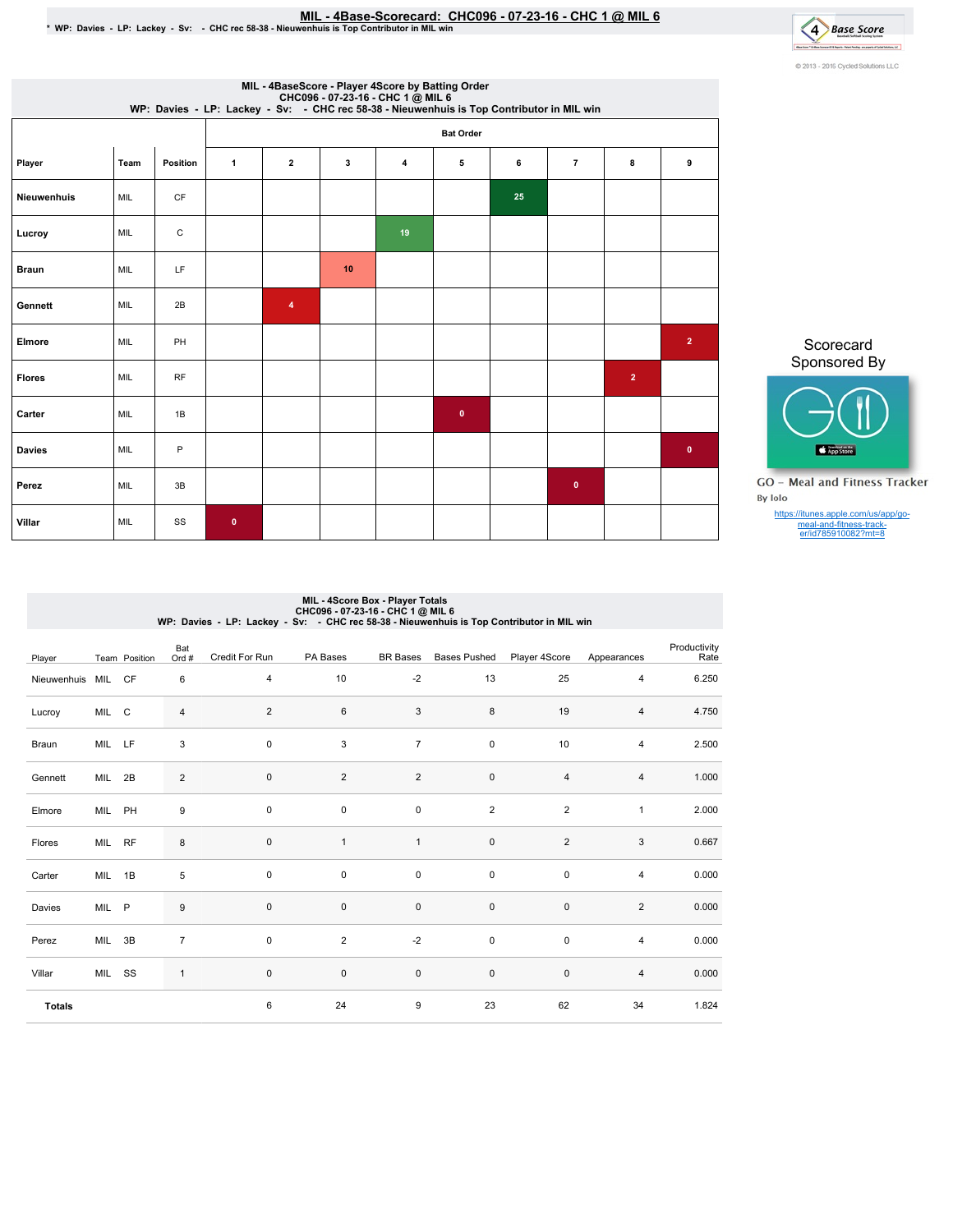## MIL - 4Base-Scorecard: CHC096 - 07-23-16 - CHC 1 @ MIL 6 \* . \* wp: Davies - LP: Lackey - Sv: - CHC rec 58-38 - Nieuwenhuis is Top Contributor in MIL win



|                    |            |          |              |              |    |    | MIL - 4BaseScore - Player 4Score by Batting Order<br>CHC096 - 07-23-16 - CHC 1 @ MIL 6<br>WP: Davies - LP: Lackey - Sv:  - CHC rec 58-38 - Nieuwenhuis is Top Contributor in MIL win |    |                |                |                |
|--------------------|------------|----------|--------------|--------------|----|----|--------------------------------------------------------------------------------------------------------------------------------------------------------------------------------------|----|----------------|----------------|----------------|
|                    |            |          |              |              |    |    | <b>Bat Order</b>                                                                                                                                                                     |    |                |                |                |
| Player             | Team       | Position | $\mathbf{1}$ | $\mathbf{2}$ | 3  | 4  | 5                                                                                                                                                                                    | 6  | $\overline{7}$ | 8              | 9              |
| <b>Nieuwenhuis</b> | MIL        | CF       |              |              |    |    |                                                                                                                                                                                      | 25 |                |                |                |
| Lucroy             | MIL        | C        |              |              |    | 19 |                                                                                                                                                                                      |    |                |                |                |
| <b>Braun</b>       | MIL        | LF       |              |              | 10 |    |                                                                                                                                                                                      |    |                |                |                |
| Gennett            | MIL        | 2B       |              | 4            |    |    |                                                                                                                                                                                      |    |                |                |                |
| Elmore             | <b>MIL</b> | PH       |              |              |    |    |                                                                                                                                                                                      |    |                |                | $\overline{2}$ |
| <b>Flores</b>      | MIL        | RF       |              |              |    |    |                                                                                                                                                                                      |    |                | $\overline{2}$ |                |
| Carter             | MIL        | 1B       |              |              |    |    | $\mathbf{0}$                                                                                                                                                                         |    |                |                |                |
| <b>Davies</b>      | <b>MIL</b> | P        |              |              |    |    |                                                                                                                                                                                      |    |                |                | $\mathbf{0}$   |
| Perez              | MIL        | 3B       |              |              |    |    |                                                                                                                                                                                      |    | $\mathbf{0}$   |                |                |
| Villar             | MIL        | SS       | $\bullet$    |              |    |    |                                                                                                                                                                                      |    |                |                |                |

Scorecard Sponsored By



**GO** - Meal and Fitness Tracker By Iolo

https://itunes.apple.com/us/app/go-meal-and-fitness-track-er/id785910082?mt=8

# MIL - 4Score Box - Player Totals<br>CHC 1 @ MIL6 - 17-23-16<br>WP: Davies - LP: Lackey - Sv: - CHC rec 58-38 - Nieuwenhuis is Top Contributor in MIL win

| Player             |        | Team Position | Bat<br>Ord #     | Credit For Run | PA Bases       | <b>BR Bases</b> | <b>Bases Pushed</b> | Player 4Score  | Appearances    | Productivity<br>Rate |
|--------------------|--------|---------------|------------------|----------------|----------------|-----------------|---------------------|----------------|----------------|----------------------|
| Nieuwenhuis MIL CF |        |               | 6                | 4              | 10             | $-2$            | 13                  | 25             | 4              | 6.250                |
| Lucroy             | MIL C  |               | $\overline{4}$   | $\overline{2}$ | 6              | 3               | 8                   | 19             | 4              | 4.750                |
| Braun              | MIL LF |               | 3                | $\pmb{0}$      | 3              | $\overline{7}$  | $\mathbf 0$         | 10             | 4              | 2.500                |
| Gennett            | MIL 2B |               | $\overline{2}$   | 0              | 2              | 2               | $\mathsf{O}\xspace$ | $\overline{4}$ | 4              | 1.000                |
| Elmore             | MIL PH |               | 9                | 0              | $\mathbf 0$    | 0               | $\overline{2}$      | $\overline{2}$ | $\mathbf{1}$   | 2.000                |
| Flores             | MIL RF |               | 8                | 0              | $\mathbf{1}$   | $\mathbf{1}$    | $\mathsf 0$         | $\overline{2}$ | 3              | 0.667                |
| Carter             | MIL 1B |               | 5                | 0              | $\mathbf 0$    | $\mathsf 0$     | $\mathbf 0$         | $\mathsf 0$    | 4              | 0.000                |
| Davies             | MIL P  |               | $\boldsymbol{9}$ | $\pmb{0}$      | $\pmb{0}$      | $\mathsf 0$     | $\mathsf 0$         | $\pmb{0}$      | $\overline{2}$ | 0.000                |
| Perez              | MIL 3B |               | $\overline{7}$   | $\mathbf 0$    | $\overline{2}$ | $-2$            | $\mathsf 0$         | $\mathsf 0$    | $\overline{4}$ | 0.000                |
| Villar             | MIL SS |               | $\mathbf{1}$     | $\mathbf 0$    | $\mathbf 0$    | $\mathsf 0$     | $\mathsf 0$         | $\mathsf 0$    | 4              | 0.000                |
| <b>Totals</b>      |        |               |                  | 6              | 24             | 9               | 23                  | 62             | 34             | 1.824                |